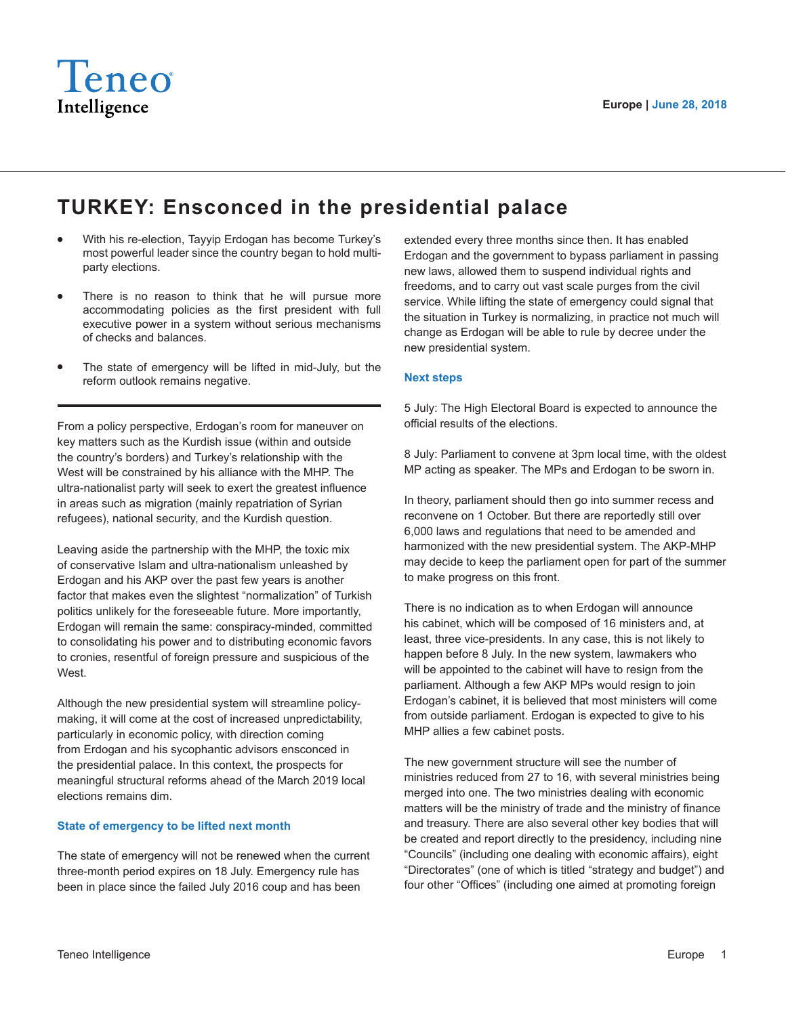

## **TURKEY: Ensconced in the presidential palace**

- With his re-election, Tayyip Erdogan has become Turkey's most powerful leader since the country began to hold multiparty elections.
- There is no reason to think that he will pursue more accommodating policies as the first president with full executive power in a system without serious mechanisms of checks and balances.
- The state of emergency will be lifted in mid-July, but the reform outlook remains negative.

From a policy perspective, Erdogan's room for maneuver on key matters such as the Kurdish issue (within and outside the country's borders) and Turkey's relationship with the West will be constrained by his alliance with the MHP. The ultra-nationalist party will seek to exert the greatest influence in areas such as migration (mainly repatriation of Syrian refugees), national security, and the Kurdish question.

Leaving aside the partnership with the MHP, the toxic mix of conservative Islam and ultra-nationalism unleashed by Erdogan and his AKP over the past few years is another factor that makes even the slightest "normalization" of Turkish politics unlikely for the foreseeable future. More importantly, Erdogan will remain the same: conspiracy-minded, committed to consolidating his power and to distributing economic favors to cronies, resentful of foreign pressure and suspicious of the West.

Although the new presidential system will streamline policymaking, it will come at the cost of increased unpredictability, particularly in economic policy, with direction coming from Erdogan and his sycophantic advisors ensconced in the presidential palace. In this context, the prospects for meaningful structural reforms ahead of the March 2019 local elections remains dim.

## **State of emergency to be lifted next month**

The state of emergency will not be renewed when the current three-month period expires on 18 July. Emergency rule has been in place since the failed July 2016 coup and has been

extended every three months since then. It has enabled Erdogan and the government to bypass parliament in passing new laws, allowed them to suspend individual rights and freedoms, and to carry out vast scale purges from the civil service. While lifting the state of emergency could signal that the situation in Turkey is normalizing, in practice not much will change as Erdogan will be able to rule by decree under the new presidential system.

## **Next steps**

5 July: The High Electoral Board is expected to announce the official results of the elections.

8 July: Parliament to convene at 3pm local time, with the oldest MP acting as speaker. The MPs and Erdogan to be sworn in.

In theory, parliament should then go into summer recess and reconvene on 1 October. But there are reportedly still over 6,000 laws and regulations that need to be amended and harmonized with the new presidential system. The AKP-MHP may decide to keep the parliament open for part of the summer to make progress on this front.

There is no indication as to when Erdogan will announce his cabinet, which will be composed of 16 ministers and, at least, three vice-presidents. In any case, this is not likely to happen before 8 July. In the new system, lawmakers who will be appointed to the cabinet will have to resign from the parliament. Although a few AKP MPs would resign to join Erdogan's cabinet, it is believed that most ministers will come from outside parliament. Erdogan is expected to give to his MHP allies a few cabinet posts.

The new government structure will see the number of ministries reduced from 27 to 16, with several ministries being merged into one. The two ministries dealing with economic matters will be the ministry of trade and the ministry of finance and treasury. There are also several other key bodies that will be created and report directly to the presidency, including nine "Councils" (including one dealing with economic affairs), eight "Directorates" (one of which is titled "strategy and budget") and four other "Offices" (including one aimed at promoting foreign